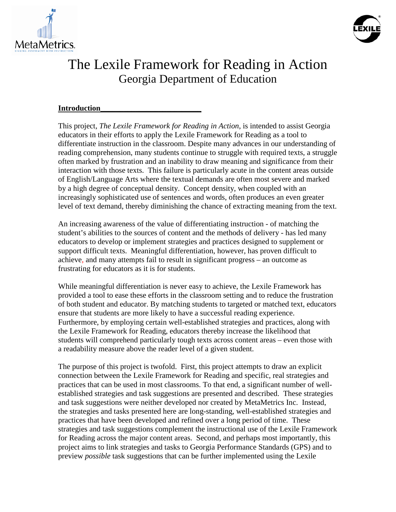



### The Lexile Framework for Reading in Action Georgia Department of Education

#### **Introduction\_\_\_\_\_\_\_\_\_\_\_\_\_\_\_\_\_\_\_\_\_\_\_\_\_\_**

This project, *The Lexile Framework for Reading in Action*, is intended to assist Georgia educators in their efforts to apply the Lexile Framework for Reading as a tool to differentiate instruction in the classroom. Despite many advances in our understanding of reading comprehension, many students continue to struggle with required texts, a struggle often marked by frustration and an inability to draw meaning and significance from their interaction with those texts. This failure is particularly acute in the content areas outside of English/Language Arts where the textual demands are often most severe and marked by a high degree of conceptual density. Concept density, when coupled with an increasingly sophisticated use of sentences and words, often produces an even greater level of text demand, thereby diminishing the chance of extracting meaning from the text.

An increasing awareness of the value of differentiating instruction - of matching the student's abilities to the sources of content and the methods of delivery - has led many educators to develop or implement strategies and practices designed to supplement or support difficult texts. Meaningful differentiation, however, has proven difficult to achieve, and many attempts fail to result in significant progress – an outcome as frustrating for educators as it is for students.

While meaningful differentiation is never easy to achieve, the Lexile Framework has provided a tool to ease these efforts in the classroom setting and to reduce the frustration of both student and educator. By matching students to targeted or matched text, educators ensure that students are more likely to have a successful reading experience. Furthermore, by employing certain well-established strategies and practices, along with the Lexile Framework for Reading, educators thereby increase the likelihood that students will comprehend particularly tough texts across content areas – even those with a readability measure above the reader level of a given student.

The purpose of this project is twofold. First, this project attempts to draw an explicit connection between the Lexile Framework for Reading and specific, real strategies and practices that can be used in most classrooms. To that end, a significant number of wellestablished strategies and task suggestions are presented and described. These strategies and task suggestions were neither developed nor created by MetaMetrics Inc. Instead, the strategies and tasks presented here are long-standing, well-established strategies and practices that have been developed and refined over a long period of time. These strategies and task suggestions complement the instructional use of the Lexile Framework for Reading across the major content areas. Second, and perhaps most importantly, this project aims to link strategies and tasks to Georgia Performance Standards (GPS) and to preview *possible* task suggestions that can be further implemented using the Lexile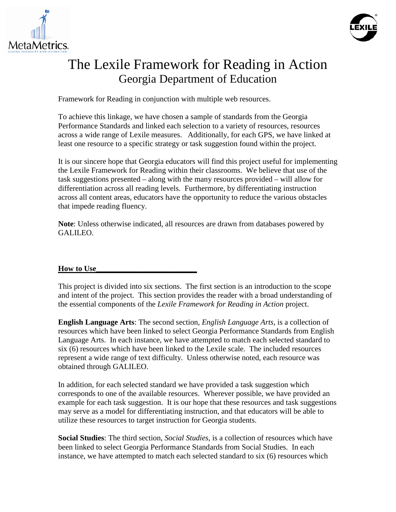



# The Lexile Framework for Reading in Action Georgia Department of Education

Framework for Reading in conjunction with multiple web resources.

To achieve this linkage, we have chosen a sample of standards from the Georgia Performance Standards and linked each selection to a variety of resources, resources across a wide range of Lexile measures. Additionally, for each GPS, we have linked at least one resource to a specific strategy or task suggestion found within the project.

It is our sincere hope that Georgia educators will find this project useful for implementing the Lexile Framework for Reading within their classrooms. We believe that use of the task suggestions presented – along with the many resources provided – will allow for differentiation across all reading levels. Furthermore, by differentiating instruction across all content areas, educators have the opportunity to reduce the various obstacles that impede reading fluency.

**Note**: Unless otherwise indicated, all resources are drawn from databases powered by GALILEO.

#### **How to Use\_\_\_\_\_\_\_\_\_\_\_\_\_\_\_\_\_\_\_\_\_\_\_\_\_\_**

This project is divided into six sections. The first section is an introduction to the scope and intent of the project. This section provides the reader with a broad understanding of the essential components of the *Lexile Framework for Reading in Action* project.

**English Language Arts**: The second section, *English Language Arts*, is a collection of resources which have been linked to select Georgia Performance Standards from English Language Arts. In each instance, we have attempted to match each selected standard to six (6) resources which have been linked to the Lexile scale. The included resources represent a wide range of text difficulty. Unless otherwise noted, each resource was obtained through GALILEO.

In addition, for each selected standard we have provided a task suggestion which corresponds to one of the available resources. Wherever possible, we have provided an example for each task suggestion. It is our hope that these resources and task suggestions may serve as a model for differentiating instruction, and that educators will be able to utilize these resources to target instruction for Georgia students.

**Social Studies**: The third section, *Social Studies*, is a collection of resources which have been linked to select Georgia Performance Standards from Social Studies. In each instance, we have attempted to match each selected standard to six (6) resources which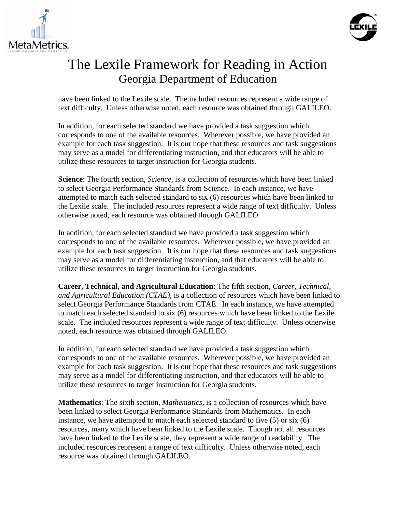



# The Lexile Framework for Reading in Action Georgia Department of Education

have been linked to the Lexile scale. The included resources represent a wide range of text difficulty. Unless otherwise noted, each resource was obtained through GALILEO.

In addition, for each selected standard we have provided a task suggestion which corresponds to one of the available resources. Wherever possible, we have provided an example for each task suggestion. It is our hope that these resources and task suggestions may serve as a model for differentiating instruction, and that educators will be able to utilize these resources to target instruction for Georgia students.

**Science**: The fourth section, *Science*, is a collection of resources which have been linked to select Georgia Performance Standards from Science. In each instance, we have attempted to match each selected standard to six (6) resources which have been linked to the Lexile scale. The included resources represent a wide range of text difficulty. Unless otherwise noted, each resource was obtained through GALILEO.

In addition, for each selected standard we have provided a task suggestion which corresponds to one of the available resources. Wherever possible, we have provided an example for each task suggestion. It is our hope that these resources and task suggestions may serve as a model for differentiating instruction, and that educators will be able to utilize these resources to target instruction for Georgia students.

**Career, Technical, and Agricultural Education**: The fifth section, *Career, Technical, and Agricultural Education (CTAE)*, is a collection of resources which have been linked to select Georgia Performance Standards from CTAE. In each instance, we have attempted to match each selected standard to six (6) resources which have been linked to the Lexile scale. The included resources represent a wide range of text difficulty. Unless otherwise noted, each resource was obtained through GALILEO.

In addition, for each selected standard we have provided a task suggestion which corresponds to one of the available resources. Wherever possible, we have provided an example for each task suggestion. It is our hope that these resources and task suggestions may serve as a model for differentiating instruction, and that educators will be able to utilize these resources to target instruction for Georgia students.

**Mathematics**: The sixth section, *Mathematics*, is a collection of resources which have been linked to select Georgia Performance Standards from Mathematics. In each instance, we have attempted to match each selected standard to five (5) or six (6) resources, many which have been linked to the Lexile scale. Though not all resources have been linked to the Lexile scale, they represent a wide range of readability. The included resources represent a range of text difficulty. Unless otherwise noted, each resource was obtained through GALILEO.